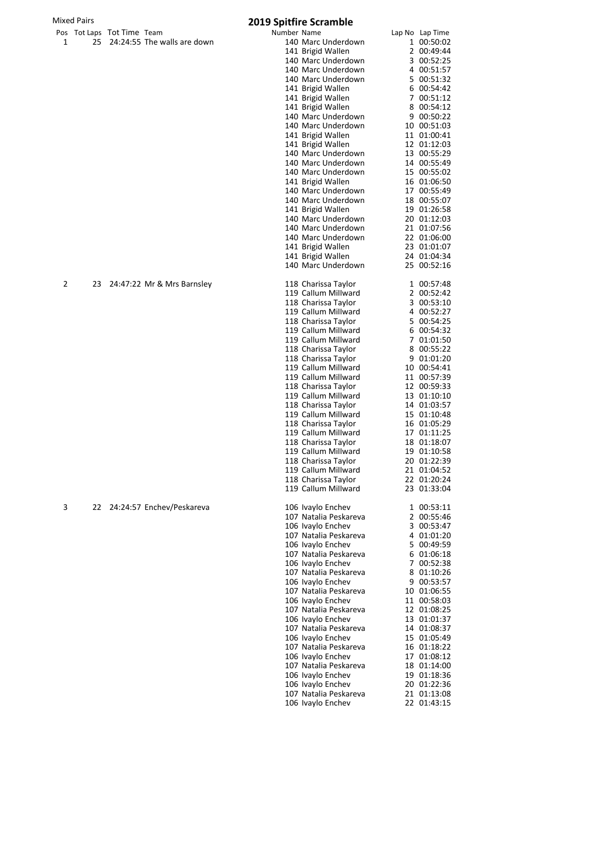## Mixed Pairs **2019 Spitfire Scramble**

|   |    | Pos Tot Laps Tot Time Team |                             | Number Name |                       |                 |
|---|----|----------------------------|-----------------------------|-------------|-----------------------|-----------------|
|   |    |                            |                             |             |                       | Lap No Lap Time |
| 1 | 25 |                            | 24:24:55 The walls are down |             | 140 Marc Underdown    | 1 00:50:02      |
|   |    |                            |                             |             | 141 Brigid Wallen     | 2 00:49:44      |
|   |    |                            |                             |             | 140 Marc Underdown    | 3 00:52:25      |
|   |    |                            |                             |             | 140 Marc Underdown    | 4 00:51:57      |
|   |    |                            |                             |             | 140 Marc Underdown    | 5 00:51:32      |
|   |    |                            |                             |             | 141 Brigid Wallen     | 6 00:54:42      |
|   |    |                            |                             |             | 141 Brigid Wallen     | 7 00:51:12      |
|   |    |                            |                             |             |                       |                 |
|   |    |                            |                             |             | 141 Brigid Wallen     | 8 00:54:12      |
|   |    |                            |                             |             | 140 Marc Underdown    | 9 00:50:22      |
|   |    |                            |                             |             | 140 Marc Underdown    | 10 00:51:03     |
|   |    |                            |                             |             | 141 Brigid Wallen     | 11 01:00:41     |
|   |    |                            |                             |             | 141 Brigid Wallen     | 12 01:12:03     |
|   |    |                            |                             |             | 140 Marc Underdown    | 13 00:55:29     |
|   |    |                            |                             |             | 140 Marc Underdown    |                 |
|   |    |                            |                             |             |                       | 14 00:55:49     |
|   |    |                            |                             |             | 140 Marc Underdown    | 15 00:55:02     |
|   |    |                            |                             |             | 141 Brigid Wallen     | 16 01:06:50     |
|   |    |                            |                             |             | 140 Marc Underdown    | 17 00:55:49     |
|   |    |                            |                             |             | 140 Marc Underdown    | 18 00:55:07     |
|   |    |                            |                             |             | 141 Brigid Wallen     | 19 01:26:58     |
|   |    |                            |                             |             |                       |                 |
|   |    |                            |                             |             | 140 Marc Underdown    | 20 01:12:03     |
|   |    |                            |                             |             | 140 Marc Underdown    | 21 01:07:56     |
|   |    |                            |                             |             | 140 Marc Underdown    | 22 01:06:00     |
|   |    |                            |                             |             | 141 Brigid Wallen     | 23 01:01:07     |
|   |    |                            |                             |             | 141 Brigid Wallen     | 24 01:04:34     |
|   |    |                            |                             |             | 140 Marc Underdown    | 25 00:52:16     |
|   |    |                            |                             |             |                       |                 |
| 2 | 23 |                            | 24:47:22 Mr & Mrs Barnsley  |             | 118 Charissa Taylor   | 1 00:57:48      |
|   |    |                            |                             |             |                       |                 |
|   |    |                            |                             |             | 119 Callum Millward   | 2 00:52:42      |
|   |    |                            |                             |             | 118 Charissa Taylor   | 3 00:53:10      |
|   |    |                            |                             |             | 119 Callum Millward   | 4 00:52:27      |
|   |    |                            |                             |             | 118 Charissa Taylor   | 5 00:54:25      |
|   |    |                            |                             |             | 119 Callum Millward   | 6 00:54:32      |
|   |    |                            |                             |             |                       |                 |
|   |    |                            |                             |             | 119 Callum Millward   | 7 01:01:50      |
|   |    |                            |                             |             | 118 Charissa Taylor   | 8 00:55:22      |
|   |    |                            |                             |             | 118 Charissa Taylor   | 9 01:01:20      |
|   |    |                            |                             |             | 119 Callum Millward   | 10 00:54:41     |
|   |    |                            |                             |             | 119 Callum Millward   | 11 00:57:39     |
|   |    |                            |                             |             |                       |                 |
|   |    |                            |                             |             | 118 Charissa Taylor   | 12 00:59:33     |
|   |    |                            |                             |             | 119 Callum Millward   | 13 01:10:10     |
|   |    |                            |                             |             | 118 Charissa Taylor   | 14 01:03:57     |
|   |    |                            |                             |             | 119 Callum Millward   | 15 01:10:48     |
|   |    |                            |                             |             | 118 Charissa Taylor   | 16 01:05:29     |
|   |    |                            |                             |             | 119 Callum Millward   | 17 01:11:25     |
|   |    |                            |                             |             |                       |                 |
|   |    |                            |                             |             | 118 Charissa Taylor   | 18 01:18:07     |
|   |    |                            |                             |             | 119 Callum Millward   | 19 01:10:58     |
|   |    |                            |                             |             | 118 Charissa Taylor   | 20 01:22:39     |
|   |    |                            |                             |             | 119 Callum Millward   | 21 01:04:52     |
|   |    |                            |                             |             | 118 Charissa Taylor   | 22 01:20:24     |
|   |    |                            |                             |             |                       |                 |
|   |    |                            |                             |             | 119 Callum Millward   | 23 01:33:04     |
|   |    |                            |                             |             | 106 Ivaylo Enchev     |                 |
| 3 | 22 |                            | 24:24:57 Enchev/Peskareva   |             |                       | 1 00:53:11      |
|   |    |                            |                             |             | 107 Natalia Peskareva | 2 00:55:46      |
|   |    |                            |                             |             | 106 Ivaylo Enchev     | 3 00:53:47      |
|   |    |                            |                             |             | 107 Natalia Peskareva | 4 01:01:20      |
|   |    |                            |                             |             | 106 Ivaylo Enchev     | 5 00:49:59      |
|   |    |                            |                             |             | 107 Natalia Peskareva | 6 01:06:18      |
|   |    |                            |                             |             |                       |                 |
|   |    |                            |                             |             | 106 Ivaylo Enchev     | 7 00:52:38      |
|   |    |                            |                             |             | 107 Natalia Peskareva | 8 01:10:26      |
|   |    |                            |                             |             | 106 Ivaylo Enchev     | 9 00:53:57      |
|   |    |                            |                             |             | 107 Natalia Peskareva | 10 01:06:55     |
|   |    |                            |                             |             | 106 Ivaylo Enchev     | 11 00:58:03     |
|   |    |                            |                             |             | 107 Natalia Peskareva |                 |
|   |    |                            |                             |             |                       | 12 01:08:25     |
|   |    |                            |                             |             | 106 Ivaylo Enchev     | 13 01:01:37     |
|   |    |                            |                             |             | 107 Natalia Peskareva | 14 01:08:37     |
|   |    |                            |                             |             | 106 Ivaylo Enchev     | 15 01:05:49     |
|   |    |                            |                             |             | 107 Natalia Peskareva | 16 01:18:22     |
|   |    |                            |                             |             | 106 Ivaylo Enchev     | 17 01:08:12     |
|   |    |                            |                             |             |                       |                 |
|   |    |                            |                             |             | 107 Natalia Peskareva | 18 01:14:00     |
|   |    |                            |                             |             | 106 Ivaylo Enchev     | 19 01:18:36     |
|   |    |                            |                             |             | 106 Ivaylo Enchev     | 20 01:22:36     |
|   |    |                            |                             |             | 107 Natalia Peskareva | 21 01:13:08     |
|   |    |                            |                             |             | 106 Ivaylo Enchev     | 22 01:43:15     |
|   |    |                            |                             |             |                       |                 |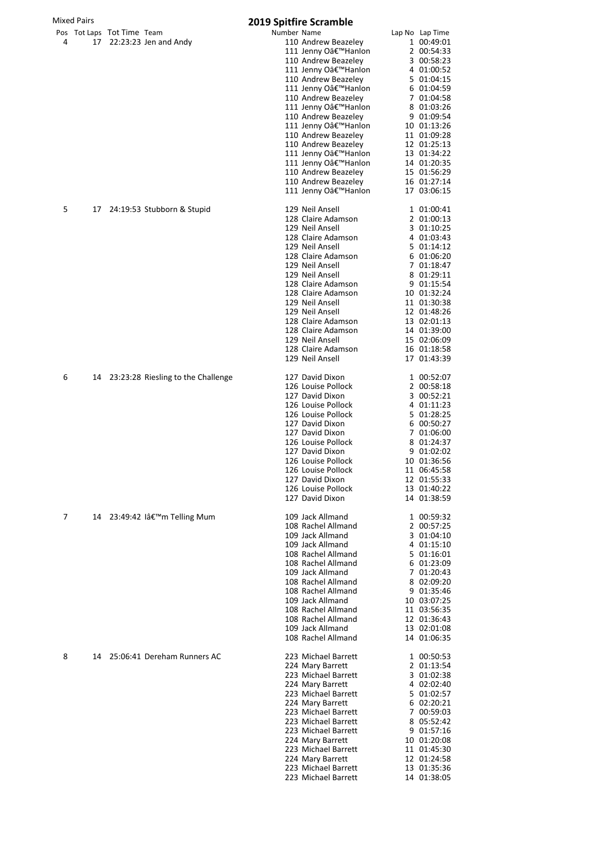| <b>Mixed Pairs</b> |    |                                                        | <b>2019 Spitfire Scramble</b>                                                                                                                                                                                                                                                                                                                                                                              |                                                                                                                                                                                                                                                                       |  |  |  |
|--------------------|----|--------------------------------------------------------|------------------------------------------------------------------------------------------------------------------------------------------------------------------------------------------------------------------------------------------------------------------------------------------------------------------------------------------------------------------------------------------------------------|-----------------------------------------------------------------------------------------------------------------------------------------------------------------------------------------------------------------------------------------------------------------------|--|--|--|
| 4                  |    | Pos Tot Laps Tot Time Team<br>17 22:23:23 Jen and Andy | Number Name<br>110 Andrew Beazelev<br>111 Jenny O'Hanlon<br>110 Andrew Beazeley<br>111 Jenny O'Hanlon<br>110 Andrew Beazeley<br>111 Jenny O'Hanlon<br>110 Andrew Beazeley<br>111 Jenny O'Hanlon<br>110 Andrew Beazeley<br>111 Jenny O'Hanlon<br>110 Andrew Beazeley<br>110 Andrew Beazeley<br>111 Jenny O'Hanlon<br>111 Jenny O'Hanlon<br>110 Andrew Beazeley<br>110 Andrew Beazeley<br>111 Jenny O'Hanlon | Lap No Lap Time<br>1 00:49:01<br>2 00:54:33<br>3 00:58:23<br>4 01:00:52<br>5 01:04:15<br>6 01:04:59<br>7 01:04:58<br>8 01:03:26<br>9 01:09:54<br>10 01:13:26<br>11 01:09:28<br>12 01:25:13<br>13 01:34:22<br>14 01:20:35<br>15 01:56:29<br>16 01:27:14<br>17 03:06:15 |  |  |  |
| 5                  | 17 | 24:19:53 Stubborn & Stupid                             | 129 Neil Ansell<br>128 Claire Adamson<br>129 Neil Ansell<br>128 Claire Adamson<br>129 Neil Ansell<br>128 Claire Adamson<br>129 Neil Ansell<br>129 Neil Ansell<br>128 Claire Adamson<br>128 Claire Adamson<br>129 Neil Ansell<br>129 Neil Ansell<br>128 Claire Adamson<br>128 Claire Adamson<br>129 Neil Ansell<br>128 Claire Adamson<br>129 Neil Ansell                                                    | 1 01:00:41<br>2 01:00:13<br>3 01:10:25<br>4 01:03:43<br>5 01:14:12<br>6 01:06:20<br>7 01:18:47<br>8 01:29:11<br>9 01:15:54<br>10 01:32:24<br>11 01:30:38<br>12 01:48:26<br>13 02:01:13<br>14 01:39:00<br>15 02:06:09<br>16 01:18:58<br>17 01:43:39                    |  |  |  |
| 6                  |    | 14 23:23:28 Riesling to the Challenge                  | 127 David Dixon<br>126 Louise Pollock<br>127 David Dixon<br>126 Louise Pollock<br>126 Louise Pollock<br>127 David Dixon<br>127 David Dixon<br>126 Louise Pollock<br>127 David Dixon<br>126 Louise Pollock<br>126 Louise Pollock<br>127 David Dixon<br>126 Louise Pollock<br>127 David Dixon                                                                                                                | 1 00:52:07<br>2 00:58:18<br>3 00:52:21<br>4 01:11:23<br>5 01:28:25<br>6 00:50:27<br>7 01:06:00<br>8 01:24:37<br>9 01:02:02<br>10 01:36:56<br>11 06:45:58<br>12 01:55:33<br>13 01:40:22<br>14 01:38:59                                                                 |  |  |  |
| 7                  | 14 | 23:49:42 lâ€ <sup>™</sup> m Telling Mum                | 109 Jack Allmand<br>108 Rachel Allmand<br>109 Jack Allmand<br>109 Jack Allmand<br>108 Rachel Allmand<br>108 Rachel Allmand<br>109 Jack Allmand<br>108 Rachel Allmand<br>108 Rachel Allmand<br>109 Jack Allmand<br>108 Rachel Allmand<br>108 Rachel Allmand<br>109 Jack Allmand<br>108 Rachel Allmand                                                                                                       | 1 00:59:32<br>2 00:57:25<br>3 01:04:10<br>4 01:15:10<br>5 01:16:01<br>6 01:23:09<br>7 01:20:43<br>8 02:09:20<br>9 01:35:46<br>10 03:07:25<br>11 03:56:35<br>12 01:36:43<br>13 02:01:08<br>14 01:06:35                                                                 |  |  |  |
| 8                  | 14 | 25:06:41 Dereham Runners AC                            | 223 Michael Barrett<br>224 Mary Barrett<br>223 Michael Barrett<br>224 Mary Barrett<br>223 Michael Barrett<br>224 Mary Barrett<br>223 Michael Barrett<br>223 Michael Barrett<br>223 Michael Barrett<br>224 Mary Barrett<br>223 Michael Barrett<br>224 Mary Barrett<br>223 Michael Barrett<br>223 Michael Barrett                                                                                            | 1 00:50:53<br>2 01:13:54<br>3 01:02:38<br>4 02:02:40<br>5 01:02:57<br>6 02:20:21<br>7 00:59:03<br>8 05:52:42<br>9 01:57:16<br>10 01:20:08<br>11 01:45:30<br>12 01:24:58<br>13 01:35:36<br>14 01:38:05                                                                 |  |  |  |